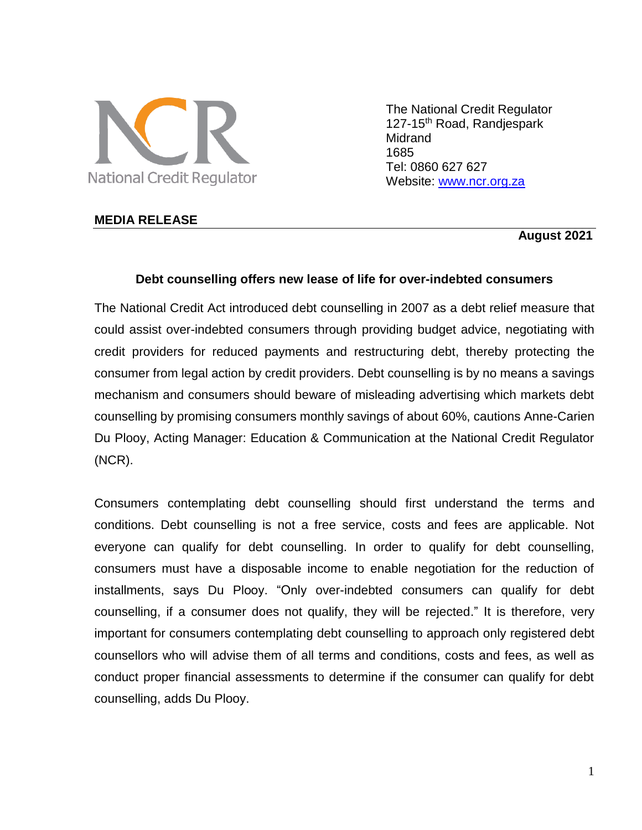

The National Credit Regulator 127-15<sup>th</sup> Road, Randjespark Midrand 1685 Tel: 0860 627 627 Website: [www.ncr.org.za](http://www.ncr.org.za/)

#### **MEDIA RELEASE**

### **August 2021**

### **Debt counselling offers new lease of life for over-indebted consumers**

The National Credit Act introduced debt counselling in 2007 as a debt relief measure that could assist over-indebted consumers through providing budget advice, negotiating with credit providers for reduced payments and restructuring debt, thereby protecting the consumer from legal action by credit providers. Debt counselling is by no means a savings mechanism and consumers should beware of misleading advertising which markets debt counselling by promising consumers monthly savings of about 60%, cautions Anne-Carien Du Plooy, Acting Manager: Education & Communication at the National Credit Regulator (NCR).

Consumers contemplating debt counselling should first understand the terms and conditions. Debt counselling is not a free service, costs and fees are applicable. Not everyone can qualify for debt counselling. In order to qualify for debt counselling, consumers must have a disposable income to enable negotiation for the reduction of installments, says Du Plooy. "Only over-indebted consumers can qualify for debt counselling, if a consumer does not qualify, they will be rejected." It is therefore, very important for consumers contemplating debt counselling to approach only registered debt counsellors who will advise them of all terms and conditions, costs and fees, as well as conduct proper financial assessments to determine if the consumer can qualify for debt counselling, adds Du Plooy.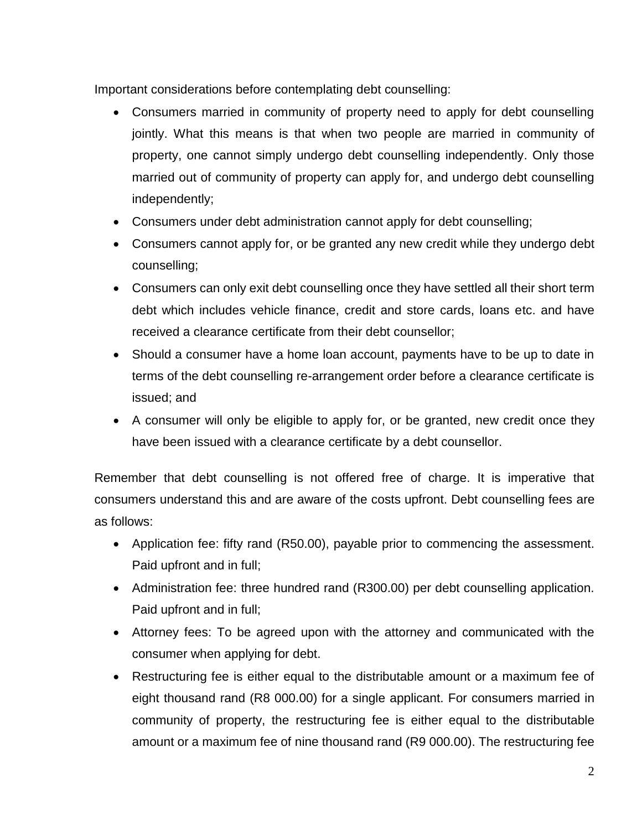Important considerations before contemplating debt counselling:

- Consumers married in community of property need to apply for debt counselling jointly. What this means is that when two people are married in community of property, one cannot simply undergo debt counselling independently. Only those married out of community of property can apply for, and undergo debt counselling independently;
- Consumers under debt administration cannot apply for debt counselling;
- Consumers cannot apply for, or be granted any new credit while they undergo debt counselling;
- Consumers can only exit debt counselling once they have settled all their short term debt which includes vehicle finance, credit and store cards, loans etc. and have received a clearance certificate from their debt counsellor;
- Should a consumer have a home loan account, payments have to be up to date in terms of the debt counselling re-arrangement order before a clearance certificate is issued; and
- A consumer will only be eligible to apply for, or be granted, new credit once they have been issued with a clearance certificate by a debt counsellor.

Remember that debt counselling is not offered free of charge. It is imperative that consumers understand this and are aware of the costs upfront. Debt counselling fees are as follows:

- Application fee: fifty rand (R50.00), payable prior to commencing the assessment. Paid upfront and in full;
- Administration fee: three hundred rand (R300.00) per debt counselling application. Paid upfront and in full;
- Attorney fees: To be agreed upon with the attorney and communicated with the consumer when applying for debt.
- Restructuring fee is either equal to the distributable amount or a maximum fee of eight thousand rand (R8 000.00) for a single applicant. For consumers married in community of property, the restructuring fee is either equal to the distributable amount or a maximum fee of nine thousand rand (R9 000.00). The restructuring fee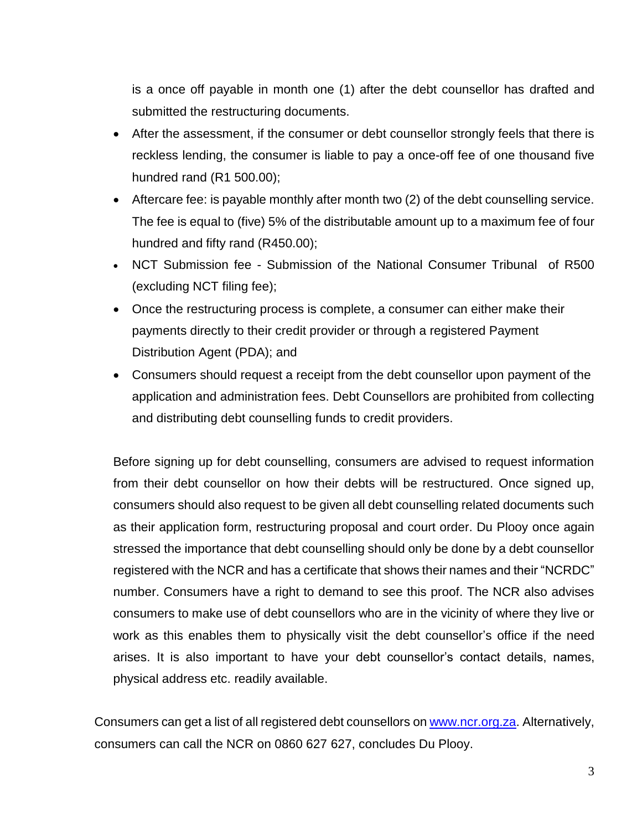is a once off payable in month one (1) after the debt counsellor has drafted and submitted the restructuring documents.

- After the assessment, if the consumer or debt counsellor strongly feels that there is reckless lending, the consumer is liable to pay a once-off fee of one thousand five hundred rand (R1 500.00);
- Aftercare fee: is payable monthly after month two (2) of the debt counselling service. The fee is equal to (five) 5% of the distributable amount up to a maximum fee of four hundred and fifty rand (R450.00);
- NCT Submission fee Submission of the National Consumer Tribunal of R500 (excluding NCT filing fee);
- Once the restructuring process is complete, a consumer can either make their payments directly to their credit provider or through a registered Payment Distribution Agent (PDA); and
- Consumers should request a receipt from the debt counsellor upon payment of the application and administration fees. Debt Counsellors are prohibited from collecting and distributing debt counselling funds to credit providers.

Before signing up for debt counselling, consumers are advised to request information from their debt counsellor on how their debts will be restructured. Once signed up, consumers should also request to be given all debt counselling related documents such as their application form, restructuring proposal and court order. Du Plooy once again stressed the importance that debt counselling should only be done by a debt counsellor registered with the NCR and has a certificate that shows their names and their "NCRDC" number. Consumers have a right to demand to see this proof. The NCR also advises consumers to make use of debt counsellors who are in the vicinity of where they live or work as this enables them to physically visit the debt counsellor's office if the need arises. It is also important to have your debt counsellor's contact details, names, physical address etc. readily available.

Consumers can get a list of all registered debt counsellors o[n www.ncr.org.za.](http://www.ncr.org.za/) Alternatively, consumers can call the NCR on 0860 627 627, concludes Du Plooy.